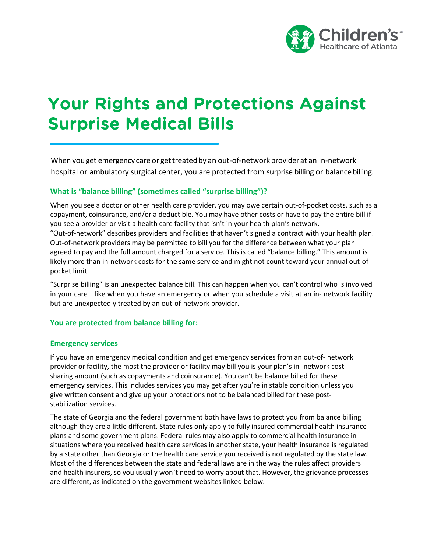

# Your Rights and Protections Against Surprise Medical Bills

When you get emergency care or get treated by an out-of-network provider at an in-network hospital or ambulatory surgical center, you are protected from surprise billing or balancebilling.

## **What is "balance billing" (sometimes called "surprise billing")?**

When you see a doctor or other health care provider, you may owe certain out-of-pocket costs, such as a copayment, coinsurance, and/or a deductible. You may have other costs or have to pay the entire bill if you see a provider or visit a health care facility that isn't in your health plan's network. "Out-of-network" describes providers and facilities that haven't signed a contract with your health plan. Out-of-network providers may be permitted to bill you for the difference between what your plan agreed to pay and the full amount charged for a service. This is called "balance billing." This amount is likely more than in-network costs for the same service and might not count toward your annual out-ofpocket limit.

"Surprise billing" is an unexpected balance bill. This can happen when you can't control who is involved in your care—like when you have an emergency or when you schedule a visit at an in- network facility but are unexpectedly treated by an out-of-network provider.

#### **You are protected from balance billing for:**

#### **Emergency services**

If you have an emergency medical condition and get emergency services from an out-of- network provider or facility, the most the provider or facility may bill you is your plan's in- network costsharing amount (such as copayments and coinsurance). You can't be balance billed for these emergency services. This includes services you may get after you're in stable condition unless you give written consent and give up your protections not to be balanced billed for these poststabilization services.

The state of Georgia and the federal government both have laws to protect you from balance billing although they are a little different. State rules only apply to fully insured commercial health insurance plans and some government plans. Federal rules may also apply to commercial health insurance in situations where you received health care services in another state, your health insurance is regulated by a state other than Georgia or the health care service you received is not regulated by the state law. Most of the differences between the state and federal laws are in the way the rules affect providers and health insurers, so you usually won't need to worry about that. However, the grievance processes are different, as indicated on the government websites linked below.